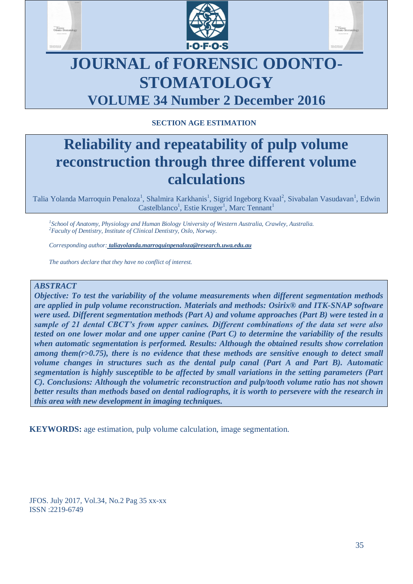





# **JOURNAL of FORENSIC ODONTO-STOMATOLOGY VOLUME 34 Number 2 December 2016**

# **SECTION AGE ESTIMATION**

# **Reliability and repeatability of pulp volume reconstruction through three different volume calculations**

Talia Yolanda Marroquin Penaloza<sup>1</sup>, Shalmira Karkhanis<sup>1</sup>, Sigrid Ingeborg Kvaal<sup>2</sup>, Sivabalan Vasudavan<sup>1</sup>, Edwin Castelblanco<sup>1</sup>, Estie Kruger<sup>1</sup>, Marc Tennant<sup>1</sup>

*1 School of Anatomy, Physiology and Human Biology University of Western Australia, Crawley, Australia. <sup>2</sup>Faculty of Dentistry, Institute of Clinical Dentistry, Oslo, Norway.*

*Corresponding author: taliayolanda.marroquinpenaloza@research.uwa.edu.au*

*The authors declare that they have no conflict of interest.*

## *ABSTRACT*

*Objective: To test the variability of the volume measurements when different segmentation methods are applied in pulp volume reconstruction. Materials and methods: Osirix® and ITK-SNAP software were used. Different segmentation methods (Part A) and volume approaches (Part B) were tested in a sample of 21 dental CBCT's from upper canines. Different combinations of the data set were also tested on one lower molar and one upper canine (Part C) to determine the variability of the results when automatic segmentation is performed. Results: Although the obtained results show correlation among them(r>0.75), there is no evidence that these methods are sensitive enough to detect small volume changes in structures such as the dental pulp canal (Part A and Part B). Automatic segmentation is highly susceptible to be affected by small variations in the setting parameters (Part C). Conclusions: Although the volumetric reconstruction and pulp/tooth volume ratio has not shown better results than methods based on dental radiographs, it is worth to persevere with the research in this area with new development in imaging techniques.* 

**KEYWORDS:** age estimation, pulp volume calculation, image segmentation.

JFOS. July 2017, Vol.34, No.2 Pag 35 xx-xx ISSN :2219-6749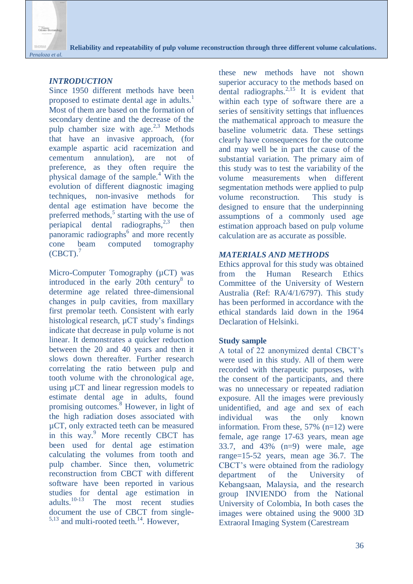

# *INTRODUCTION*

Since 1950 different methods have been proposed to estimate dental age in adults. $<sup>1</sup>$ </sup> Most of them are based on the formation of secondary dentine and the decrease of the pulp chamber size with age. $^{2,3}$  Methods that have an invasive approach, (for example aspartic acid racemization and cementum annulation), are not of preference, as they often require the physical damage of the sample.<sup>4</sup> With the evolution of different diagnostic imaging techniques, non-invasive methods for dental age estimation have become the preferred methods,<sup>5</sup> starting with the use of periapical dental radiographs,  $2,3$ then panoramic radiographs<sup>6</sup> and more recently cone beam computed tomography  $(CBCT).$ <sup>7</sup>

Micro-Computer Tomography ( $\mu$ CT) was introduced in the early  $20th$  century<sup>8</sup> to determine age related three-dimensional changes in pulp cavities, from maxillary first premolar teeth. Consistent with early histological research,  $\mu$ CT study's findings indicate that decrease in pulp volume is not linear. It demonstrates a quicker reduction between the 20 and 40 years and then it slows down thereafter. Further research correlating the ratio between pulp and tooth volume with the chronological age, using µCT and linear regression models to estimate dental age in adults, found promising outcomes.<sup>8</sup> However, in light of the high radiation doses associated with µCT, only extracted teeth can be measured in this way.<sup>9</sup> More recently CBCT has been used for dental age estimation calculating the volumes from tooth and pulp chamber. Since then, volumetric reconstruction from CBCT with different software have been reported in various studies for dental age estimation in  $adults$ <sup>10-13</sup> The most recent studies The most recent studies document the use of CBCT from single- $5,13$  and multi-rooted teeth.<sup>14</sup>. However,

these new methods have not shown superior accuracy to the methods based on dental radiographs. $^{2,15}$  It is evident that within each type of software there are a series of sensitivity settings that influences the mathematical approach to measure the baseline volumetric data. These settings clearly have consequences for the outcome and may well be in part the cause of the substantial variation. The primary aim of this study was to test the variability of the volume measurements when different segmentation methods were applied to pulp volume reconstruction. This study is designed to ensure that the underpinning assumptions of a commonly used age estimation approach based on pulp volume calculation are as accurate as possible.

## *MATERIALS AND METHODS*

Ethics approval for this study was obtained from the Human Research Ethics Committee of the University of Western Australia (Ref: RA/4/1/6797). This study has been performed in accordance with the ethical standards laid down in the 1964 Declaration of Helsinki.

# **Study sample**

A total of 22 anonymized dental CBCT's were used in this study. All of them were recorded with therapeutic purposes, with the consent of the participants, and there was no unnecessary or repeated radiation exposure. All the images were previously unidentified, and age and sex of each individual was the only known information. From these, 57% (n=12) were female, age range 17-63 years, mean age 33.7, and  $43\%$  (n=9) were male, age range=15-52 years, mean age 36.7. The CBCT's were obtained from the radiology department of the University of Kebangsaan, Malaysia, and the research group INVIENDO from the National University of Colombia, In both cases the images were obtained using the 9000 3D Extraoral Imaging System (Carestream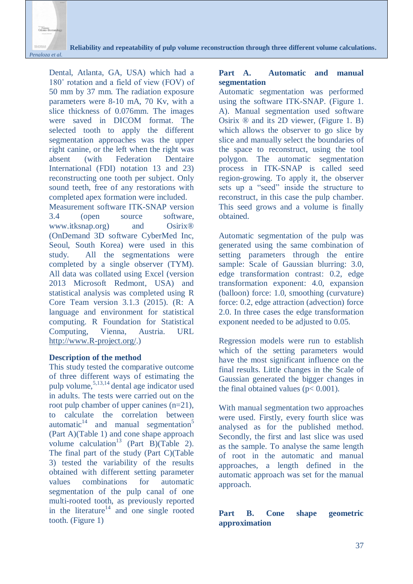

Dental, Atlanta, GA, USA) which had a 180˚ rotation and a field of view (FOV) of 50 mm by 37 mm. The radiation exposure parameters were 8-10 mA, 70 Kv, with a slice thickness of 0.076mm. The images were saved in DICOM format. The selected tooth to apply the different segmentation approaches was the upper right canine, or the left when the right was absent (with Federation Dentaire International (FDI) notation 13 and 23) reconstructing one tooth per subject. Only sound teeth, free of any restorations with completed apex formation were included.

Measurement software ITK-SNAP version 3.4 (open source software, www.itksnap.org) and Osirix<sup>®</sup> (OnDemand 3D software CyberMed Inc, Seoul, South Korea) were used in this study. All the segmentations were completed by a single observer (TYM). All data was collated using Excel (version 2013 Microsoft Redmont, USA) and statistical analysis was completed using R Core Team version 3.1.3 (2015). (R: A language and environment for statistical computing. R Foundation for Statistical Computing, Vienna, Austria. URL [http://www.R-project.org/.](http://www.r-project.org/))

# **Description of the method**

This study tested the comparative outcome of three different ways of estimating the pulp volume,  $5,13,14$  dental age indicator used in adults. The tests were carried out on the root pulp chamber of upper canines (n=21), to calculate the correlation between automatic $^{14}$  and manual segmentation<sup>5</sup> (Part A)(Table 1) and cone shape approach volume calculation<sup>13</sup> (Part B)(Table 2). The final part of the study (Part C)(Table 3) tested the variability of the results obtained with different setting parameter values combinations for automatic segmentation of the pulp canal of one multi-rooted tooth, as previously reported in the literature<sup>14</sup> and one single rooted tooth. (Figure 1)

# **Part A. Automatic and manual segmentation**

Automatic segmentation was performed using the software ITK-SNAP. (Figure 1. A). Manual segmentation used software Osirix ® and its 2D viewer, (Figure 1. B) which allows the observer to go slice by slice and manually select the boundaries of the space to reconstruct, using the tool polygon. The automatic segmentation process in ITK-SNAP is called seed region-growing. To apply it, the observer sets up a "seed" inside the structure to reconstruct, in this case the pulp chamber. This seed grows and a volume is finally obtained.

Automatic segmentation of the pulp was generated using the same combination of setting parameters through the entire sample: Scale of Gaussian blurring: 3.0, edge transformation contrast: 0.2, edge transformation exponent: 4.0, expansion (balloon) force: 1.0, smoothing (curvature) force: 0.2, edge attraction (advection) force 2.0. In three cases the edge transformation exponent needed to be adjusted to 0.05.

Regression models were run to establish which of the setting parameters would have the most significant influence on the final results. Little changes in the Scale of Gaussian generated the bigger changes in the final obtained values ( $p < 0.001$ ).

With manual segmentation two approaches were used. Firstly, every fourth slice was analysed as for the published method. Secondly, the first and last slice was used as the sample. To analyse the same length of root in the automatic and manual approaches, a length defined in the automatic approach was set for the manual approach.

# **Part B. Cone shape geometric approximation**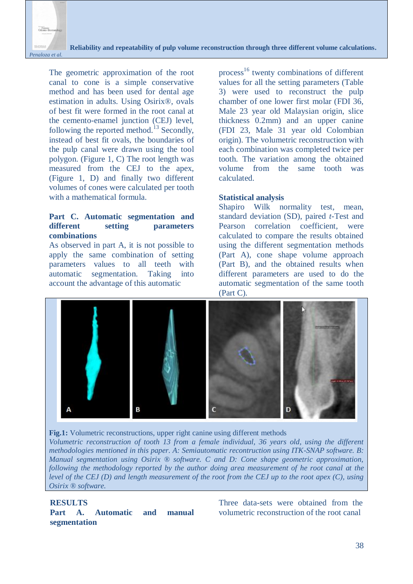

The geometric approximation of the root canal to cone is a simple conservative method and has been used for dental age estimation in adults. Using Osirix®, ovals of best fit were formed in the root canal at the cemento-enamel junction (CEJ) level, following the reported method.<sup>13</sup> Secondly, instead of best fit ovals, the boundaries of the pulp canal were drawn using the tool polygon. (Figure 1, C) The root length was measured from the CEJ to the apex, (Figure 1, D) and finally two different volumes of cones were calculated per tooth with a mathematical formula.

## **Part C. Automatic segmentation and different setting parameters combinations**

As observed in part A, it is not possible to apply the same combination of setting parameters values to all teeth with automatic segmentation. Taking into account the advantage of this automatic

process<sup>16</sup> twenty combinations of different values for all the setting parameters (Table 3) were used to reconstruct the pulp chamber of one lower first molar (FDI 36, Male 23 year old Malaysian origin, slice thickness 0.2mm) and an upper canine (FDI 23, Male 31 year old Colombian origin). The volumetric reconstruction with each combination was completed twice per tooth. The variation among the obtained volume from the same tooth was calculated.

### **Statistical analysis**

Shapiro Wilk normality test, mean, standard deviation (SD), paired *t*-Test and Pearson correlation coefficient, were calculated to compare the results obtained using the different segmentation methods (Part A), cone shape volume approach (Part B), and the obtained results when different parameters are used to do the automatic segmentation of the same tooth (Part C).





*Volumetric reconstruction of tooth 13 from a female individual, 36 years old, using the different methodologies mentioned in this paper. A: Semiautomatic recontruction using ITK-SNAP software. B: Manual segmentation using Osirix ® software. C and D: Cone shape geometric approximation, following the methodology reported by the author doing area measurement of he root canal at the level of the CEJ (D) and length measurement of the root from the CEJ up to the root apex (C), using Osirix ® software.*

### **RESULTS**

**Part A. Automatic and manual segmentation**

Three data-sets were obtained from the volumetric reconstruction of the root canal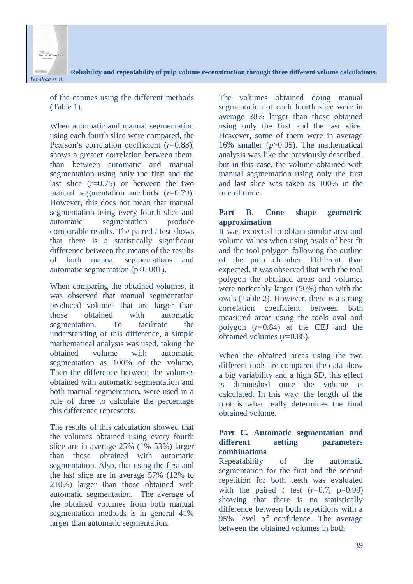

of the canines using the different methods (Table 1).

When automatic and manual segmentation using each fourth slice were compared, the Pearson's correlation coefficient (*r*=0.83), shows a greater correlation between them, than between automatic and manual segmentation using only the first and the last slice  $(r=0.75)$  or between the two manual segmentation methods (*r*=0.79). However, this does not mean that manual segmentation using every fourth slice and automatic segmentation produce comparable results. The paired *t* test shows that there is a statistically significant difference between the means of the results of both manual segmentations and automatic segmentation  $(p<0.001)$ .

When comparing the obtained volumes, it was observed that manual segmentation produced volumes that are larger than those obtained with automatic segmentation. To facilitate the understanding of this difference, a simple mathematical analysis was used, taking the obtained volume with automatic segmentation as 100% of the volume. Then the difference between the volumes obtained with automatic segmentation and both manual segmentation, were used in a rule of three to calculate the percentage this difference represents.

The results of this calculation showed that the volumes obtained using every fourth slice are in average 25% (1%-53%) larger than those obtained with automatic segmentation. Also, that using the first and the last slice are in average 57% (12% to 210%) larger than those obtained with automatic segmentation. The average of the obtained volumes from both manual segmentation methods is in general 41% larger than automatic segmentation.

The volumes obtained doing manual segmentation of each fourth slice were in average 28% larger than those obtained using only the first and the last slice. However, some of them were in average 16% smaller (*p*>0.05). The mathematical analysis was like the previously described, but in this case, the volume obtained with manual segmentation using only the first and last slice was taken as 100% in the rule of three.

# **Part B. Cone shape geometric approximation**

It was expected to obtain similar area and volume values when using ovals of best fit and the tool polygon following the outline of the pulp chamber. Different than expected, it was observed that with the tool polygon the obtained areas and volumes were noticeably larger (50%) than with the ovals (Table 2). However, there is a strong correlation coefficient between both measured areas using the tools oval and polygon (*r*=0.84) at the CEJ and the obtained volumes (*r*=0.88).

When the obtained areas using the two different tools are compared the data show a big variability and a high SD, this effect is diminished once the volume is calculated. In this way, the length of the root is what really determines the final obtained volume.

## **Part C. Automatic segmentation and different setting parameters combinations**

Repeatability of the automatic segmentation for the first and the second repetition for both teeth was evaluated with the paired *t* test  $(r=0.7, p=0.99)$ showing that there is no statistically difference between both repetitions with a 95% level of confidence. The average between the obtained volumes in both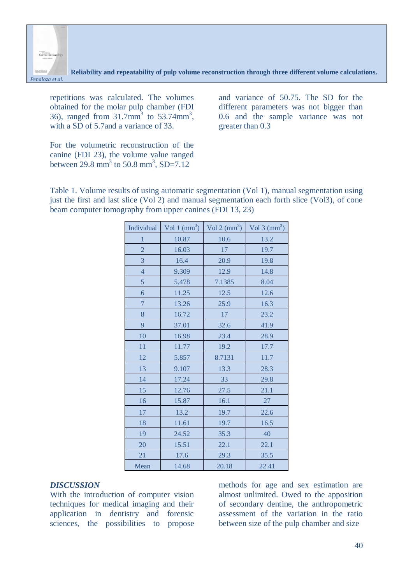

repetitions was calculated. The volumes obtained for the molar pulp chamber (FDI 36), ranged from  $31.7$ mm<sup>3</sup> to  $53.74$ mm<sup>3</sup>, with a SD of 5.7and a variance of 33.

For the volumetric reconstruction of the canine (FDI 23), the volume value ranged between  $29.8 \text{ mm}^3$  to  $50.8 \text{ mm}^3$ , SD=7.12

and variance of 50.75. The SD for the different parameters was not bigger than 0.6 and the sample variance was not greater than 0.3

Table 1. Volume results of using automatic segmentation (Vol 1), manual segmentation using just the first and last slice (Vol 2) and manual segmentation each forth slice (Vol3), of cone beam computer tomography from upper canines (FDI 13, 23)

| Individual     | Vol 1 $\text{(mm}^3)$ | Vol 2 $\text{(mm}^3)$ | Vol 3 $\text{(mm}^3)$ |
|----------------|-----------------------|-----------------------|-----------------------|
| $\mathbf{1}$   | 10.87                 | 10.6                  | 13.2                  |
| $\overline{2}$ | 16.03                 | 17                    | 19.7                  |
| 3              | 16.4                  | 20.9                  | 19.8                  |
| $\overline{4}$ | 9.309                 | 12.9                  | 14.8                  |
| 5              | 5.478                 | 7.1385                | 8.04                  |
| 6              | 11.25                 | 12.5                  | 12.6                  |
| $\overline{7}$ | 13.26                 | 25.9                  | 16.3                  |
| 8              | 16.72                 | 17                    | 23.2                  |
| 9              | 37.01                 | 32.6                  | 41.9                  |
| 10             | 16.98                 | 23.4                  | 28.9                  |
| 11             | 11.77                 | 19.2                  | 17.7                  |
| 12             | 5.857                 | 8.7131                | $11.7\,$              |
| 13             | 9.107                 | 13.3                  | 28.3                  |
| 14             | 17.24                 | 33                    | 29.8                  |
| 15             | 12.76                 | 27.5                  | 21.1                  |
| 16             | 15.87                 | 16.1                  | 27                    |
| 17             | 13.2                  | 19.7                  | 22.6                  |
| 18             | 11.61                 | 19.7                  | 16.5                  |
| 19             | 24.52                 | 35.3                  | 40                    |
| 20             | 15.51                 | 22.1                  | 22.1                  |
| 21             | 17.6                  | 29.3                  | 35.5                  |
| Mean           | 14.68                 | 20.18                 | 22.41                 |

#### *DISCUSSION*

With the introduction of computer vision techniques for medical imaging and their application in dentistry and forensic sciences, the possibilities to propose

methods for age and sex estimation are almost unlimited. Owed to the apposition of secondary dentine, the anthropometric assessment of the variation in the ratio between size of the pulp chamber and size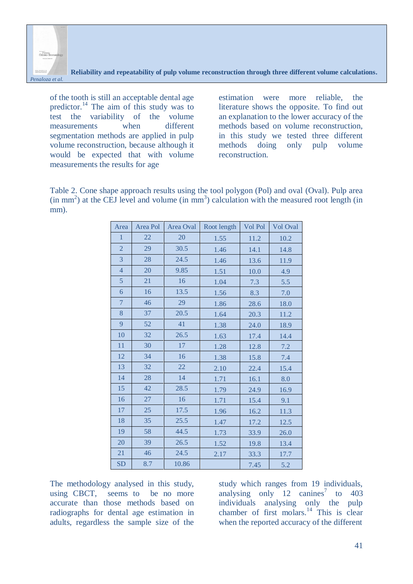

of the tooth is still an acceptable dental age predictor.<sup>14</sup> The aim of this study was to test the variability of the volume measurements when different segmentation methods are applied in pulp volume reconstruction, because although it would be expected that with volume measurements the results for age

estimation were more reliable, the literature shows the opposite. To find out an explanation to the lower accuracy of the methods based on volume reconstruction, in this study we tested three different methods doing only pulp volume reconstruction.

Table 2. Cone shape approach results using the tool polygon (Pol) and oval (Oval). Pulp area  $(in \, mm^2)$  at the CEJ level and volume  $(in \, mm^3)$  calculation with the measured root length  $(in \, mm^2)$ mm).

| Area           | Area Pol | Area Oval | Vol Pol<br>Root length |      | Vol Oval |
|----------------|----------|-----------|------------------------|------|----------|
| $\mathbf{1}$   | 22       | 20        | 1.55                   | 11.2 | 10.2     |
| $\overline{2}$ | 29       | 30.5      | 1.46                   | 14.1 | 14.8     |
| 3              | 28       | 24.5      | 1.46                   | 13.6 | 11.9     |
| $\overline{4}$ | 20       | 9.85      | 1.51                   | 10.0 | 4.9      |
| $\overline{5}$ | 21       | 16        | 1.04                   | 7.3  | $5.5$    |
| 6              | 16       | 13.5      | 1.56                   | 8.3  | $7.0\,$  |
| $\overline{7}$ | 46       | 29        | 1.86                   | 28.6 | 18.0     |
| 8              | 37       | 20.5      | 1.64                   | 20.3 | 11.2     |
| 9              | 52       | 41        | 1.38                   | 24.0 | 18.9     |
| 10             | 32       | 26.5      | 1.63                   | 17.4 | 14.4     |
| 11             | 30       | 17        | 1.28                   | 12.8 | 7.2      |
| 12             | 34       | 16        | 1.38                   | 15.8 | 7.4      |
| 13             | 32       | 22        | 2.10                   | 22.4 | 15.4     |
| 14             | 28       | 14        | 1.71                   | 16.1 | 8.0      |
| 15             | 42       | 28.5      | 1.79                   | 24.9 | 16.9     |
| 16             | 27       | 16        | 1.71                   | 15.4 | 9.1      |
| 17             | 25       | 17.5      | 1.96                   | 16.2 | 11.3     |
| 18             | 35       | 25.5      | 1.47                   | 17.2 | 12.5     |
| 19             | 58       | 44.5      | 1.73                   | 33.9 | 26.0     |
| 20             | 39       | 26.5      | 1.52                   | 19.8 | 13.4     |
| 21             | 46       | 24.5      | 2.17                   | 33.3 | 17.7     |
| <b>SD</b>      | 8.7      | 10.86     |                        | 7.45 | 5.2      |

The methodology analysed in this study, using CBCT, seems to be no more accurate than those methods based on radiographs for dental age estimation in adults, regardless the sample size of the

study which ranges from 19 individuals, analysing only  $12$  canines<sup>7</sup> to  $403$ individuals analysing only the pulp chamber of first molars.<sup>14</sup> This is clear when the reported accuracy of the different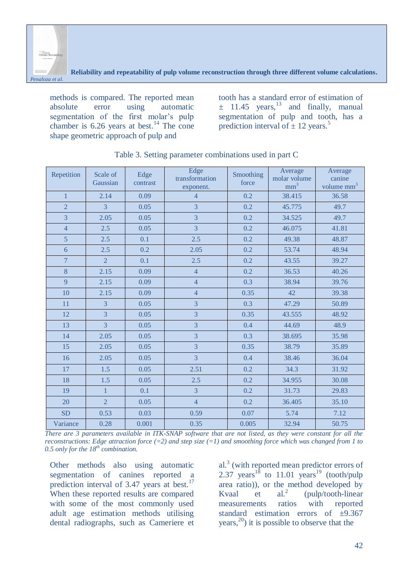

methods is compared. The reported mean absolute error using automatic segmentation of the first molar's pulp chamber is  $6.26$  years at best.<sup>14</sup> The cone shape geometric approach of pulp and

tooth has a standard error of estimation of  $\pm$  11.45 years,<sup>13</sup> and finally, manual segmentation of pulp and tooth, has a prediction interval of  $\pm$  12 years.<sup>5</sup>

| Repetition     | Scale of<br>Gaussian | Edge<br>contrast | Edge<br>transformation<br>exponent. | Smoothing<br>force | Average<br>molar volume<br>mm <sup>3</sup> | Average<br>canine<br>volume $mm3$ |
|----------------|----------------------|------------------|-------------------------------------|--------------------|--------------------------------------------|-----------------------------------|
| $\mathbf{1}$   | 2.14                 | 0.09             | $\overline{4}$                      | 0.2                | 38.415                                     | 36.58                             |
| $\overline{2}$ | $\overline{3}$       | 0.05             | $\overline{3}$                      | 0.2                | 45.775                                     | 49.7                              |
| $\overline{3}$ | 2.05                 | 0.05             | $\overline{3}$                      | 0.2                | 34.525                                     | 49.7                              |
| $\overline{4}$ | 2.5                  | 0.05             | $\overline{3}$                      | 0.2                | 46.075                                     | 41.81                             |
| $\overline{5}$ | 2.5                  | 0.1              | 2.5                                 | 0.2                | 49.38                                      | 48.87                             |
| 6              | 2.5                  | 0.2              | 2.05                                | 0.2                | 53.74                                      | 48.94                             |
| $\overline{7}$ | $\overline{2}$       | 0.1              | 2.5                                 | 0.2                | 43.55                                      | 39.27                             |
| 8              | 2.15                 | 0.09             | $\overline{4}$                      | 0.2                | 36.53                                      | 40.26                             |
| 9              | 2.15                 | 0.09             | $\overline{4}$                      | 0.3                | 38.94                                      | 39.76                             |
| 10             | 2.15                 | 0.09             | $\overline{4}$                      | 0.35               | 42                                         | 39.38                             |
| 11             | $\overline{3}$       | 0.05             | $\overline{3}$                      | 0.3                | 47.29                                      | 50.89                             |
| 12             | $\overline{3}$       | 0.05             | $\overline{3}$                      | 0.35               | 43.555                                     | 48.92                             |
| 13             | $\overline{3}$       | 0.05             | $\overline{3}$                      | 0.4                | 44.69                                      | 48.9                              |
| 14             | 2.05                 | 0.05             | $\overline{3}$                      | 0.3                | 38.695                                     | 35.98                             |
| 15             | 2.05                 | 0.05             | $\overline{3}$                      | 0.35               | 38.79                                      | 35.89                             |
| 16             | 2.05                 | 0.05             | $\overline{3}$                      | 0.4                | 38.46                                      | 36.04                             |
| 17             | 1.5                  | 0.05             | 2.51                                | 0.2                | 34.3                                       | 31.92                             |
| 18             | 1.5                  | 0.05             | 2.5                                 | 0.2                | 34.955                                     | 30.08                             |
| 19             | $\mathbf{1}$         | 0.1              | $\overline{3}$                      | 0.2                | 31.73                                      | 29.83                             |
| 20             | $\overline{2}$       | 0.05             | $\overline{4}$                      | 0.2                | 36.405                                     | 35.10                             |
| <b>SD</b>      | 0.53                 | 0.03             | 0.59                                | 0.07               | 5.74                                       | 7.12                              |
| Variance       | 0.28                 | 0.001            | 0.35                                | 0.005              | 32.94                                      | 50.75                             |

### Table 3. Setting parameter combinations used in part C

*There are 3 parameters available in ITK-SNAP software that are not listed, as they were constant for all the reconstructions: Edge attraction force (=2) and step size (=1) and smoothing force which was changed from 1 to 0.5 only for the 18th combination.*

Other methods also using automatic segmentation of canines reported a prediction interval of  $3.47$  years at best.<sup>17</sup> When these reported results are compared with some of the most commonly used adult age estimation methods utilising dental radiographs, such as Cameriere et

al.<sup>3</sup> (with reported mean predictor errors of 2.37 years<sup>18</sup> to 11.01 years<sup>19</sup> (tooth/pulp area ratio)), or the method developed by Kvaal et  $al^2$ (pulp/tooth-linear measurements ratios with reported standard estimation errors of  $\pm$ 9.367  $years<sub>1</sub><sup>20</sup>$  it is possible to observe that the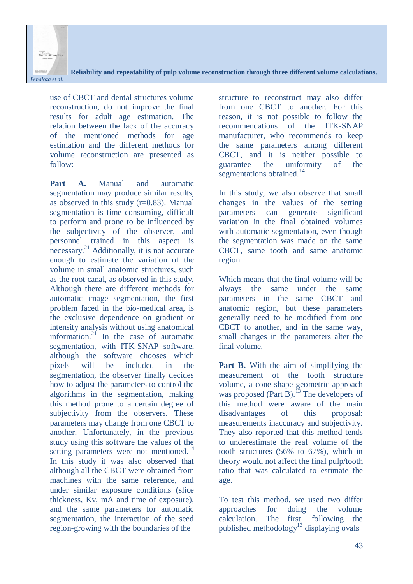

use of CBCT and dental structures volume reconstruction, do not improve the final results for adult age estimation. The relation between the lack of the accuracy of the mentioned methods for age estimation and the different methods for volume reconstruction are presented as follow:

**Part A.** Manual and automatic segmentation may produce similar results, as observed in this study (r=0.83). Manual segmentation is time consuming, difficult to perform and prone to be influenced by the subjectivity of the observer, and personnel trained in this aspect is necessary.<sup>21</sup> Additionally, it is not accurate enough to estimate the variation of the volume in small anatomic structures, such as the root canal, as observed in this study. Although there are different methods for automatic image segmentation, the first problem faced in the bio-medical area, is the exclusive dependence on gradient or intensity analysis without using anatomical information. $^{21}$  In the case of automatic segmentation, with ITK-SNAP software, although the software chooses which pixels will be included in the segmentation, the observer finally decides how to adjust the parameters to control the algorithms in the segmentation, making this method prone to a certain degree of subjectivity from the observers. These parameters may change from one CBCT to another. Unfortunately, in the previous study using this software the values of the setting parameters were not mentioned.<sup>14</sup> In this study it was also observed that although all the CBCT were obtained from machines with the same reference, and under similar exposure conditions (slice thickness, Kv, mA and time of exposure), and the same parameters for automatic segmentation, the interaction of the seed region-growing with the boundaries of the

structure to reconstruct may also differ from one CBCT to another. For this reason, it is not possible to follow the recommendations of the ITK-SNAP manufacturer, who recommends to keep the same parameters among different CBCT, and it is neither possible to guarantee the uniformity of the segmentations obtained.<sup>14</sup>

In this study, we also observe that small changes in the values of the setting parameters can generate significant variation in the final obtained volumes with automatic segmentation, even though the segmentation was made on the same CBCT, same tooth and same anatomic region.

Which means that the final volume will be always the same under the same parameters in the same CBCT and anatomic region, but these parameters generally need to be modified from one CBCT to another, and in the same way, small changes in the parameters alter the final volume.

**Part B.** With the aim of simplifying the measurement of the tooth structure volume, a cone shape geometric approach was proposed (Part B).<sup>13</sup> The developers of this method were aware of the main disadvantages of this proposal: measurements inaccuracy and subjectivity. They also reported that this method tends to underestimate the real volume of the tooth structures (56% to 67%), which in theory would not affect the final pulp/tooth ratio that was calculated to estimate the age.

To test this method, we used two differ approaches for doing the volume calculation. The first, following the published methodology<sup>13</sup> displaying ovals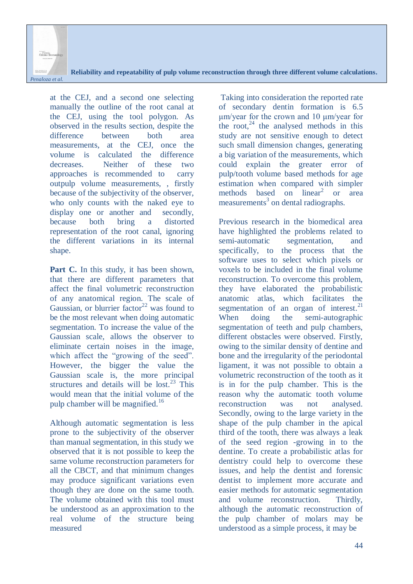

at the CEJ, and a second one selecting manually the outline of the root canal at the CEJ, using the tool polygon. As observed in the results section, despite the difference between both area measurements, at the CEJ, once the volume is calculated the difference decreases. Neither of these two approaches is recommended to carry outpulp volume measurements, , firstly because of the subjectivity of the observer, who only counts with the naked eye to display one or another and secondly, because both bring a distorted representation of the root canal, ignoring the different variations in its internal shape.

Part C. In this study, it has been shown, that there are different parameters that affect the final volumetric reconstruction of any anatomical region. The scale of Gaussian, or blurrier factor<sup>22</sup> was found to be the most relevant when doing automatic segmentation. To increase the value of the Gaussian scale, allows the observer to eliminate certain noises in the image, which affect the "growing of the seed". However, the bigger the value the Gaussian scale is, the more principal structures and details will be  $\log^{23}$  This would mean that the initial volume of the pulp chamber will be magnified.<sup>16</sup>

Although automatic segmentation is less prone to the subjectivity of the observer than manual segmentation, in this study we observed that it is not possible to keep the same volume reconstruction parameters for all the CBCT, and that minimum changes may produce significant variations even though they are done on the same tooth. The volume obtained with this tool must be understood as an approximation to the real volume of the structure being measured

Taking into consideration the reported rate of secondary dentin formation is 6.5 μm/year for the crown and 10 μm/year for the root. $^{24}$  the analysed methods in this study are not sensitive enough to detect such small dimension changes, generating a big variation of the measurements, which could explain the greater error of pulp/tooth volume based methods for age estimation when compared with simpler methods based on linear<sup>2</sup> or area measurements<sup>3</sup> on dental radiographs.

Previous research in the biomedical area have highlighted the problems related to semi-automatic segmentation, and specifically, to the process that the software uses to select which pixels or voxels to be included in the final volume reconstruction. To overcome this problem, they have elaborated the probabilistic anatomic atlas, which facilitates the segmentation of an organ of interest. $^{21}$ When doing the semi-autographic segmentation of teeth and pulp chambers, different obstacles were observed. Firstly, owing to the similar density of dentine and bone and the irregularity of the periodontal ligament, it was not possible to obtain a volumetric reconstruction of the tooth as it is in for the pulp chamber. This is the reason why the automatic tooth volume reconstruction was not analysed. Secondly, owing to the large variety in the shape of the pulp chamber in the apical third of the tooth, there was always a leak of the seed region -growing in to the dentine. To create a probabilistic atlas for dentistry could help to overcome these issues, and help the dentist and forensic dentist to implement more accurate and easier methods for automatic segmentation and volume reconstruction. Thirdly, although the automatic reconstruction of the pulp chamber of molars may be understood as a simple process, it may be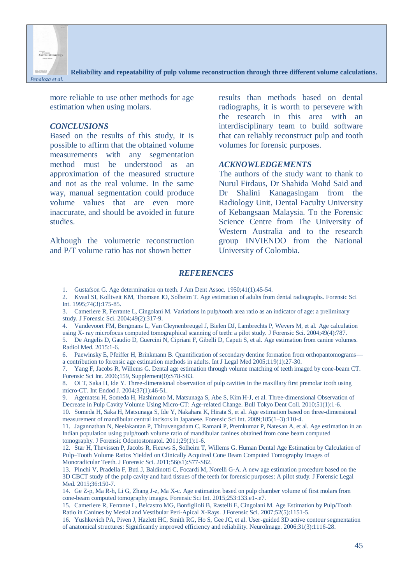

more reliable to use other methods for age estimation when using molars.

#### *CONCLUSIONS*

Based on the results of this study, it is possible to affirm that the obtained volume measurements with any segmentation method must be understood as an approximation of the measured structure and not as the real volume. In the same way, manual segmentation could produce volume values that are even more inaccurate, and should be avoided in future studies.

Although the volumetric reconstruction and P/T volume ratio has not shown better

results than methods based on dental radiographs, it is worth to persevere with the research in this area with an interdisciplinary team to build software that can reliably reconstruct pulp and tooth volumes for forensic purposes.

### *ACKNOWLEDGEMENTS*

The authors of the study want to thank to Nurul Firdaus, Dr Shahida Mohd Said and Dr Shalini Kanagasingam from the Radiology Unit, Dental Faculty University of Kebangsaan Malaysia. To the Forensic Science Centre from The University of Western Australia and to the research group INVIENDO from the National University of Colombia.

#### *REFERENCES*

1. Gustafson G. Age determination on teeth. J Am Dent Assoc. 1950;41(1):45-54.

2. Kvaal SI, Kolltveit KM, Thomsen IO, Solheim T. Age estimation of adults from dental radiographs. Forensic Sci Int. 1995;74(3):175-85.

3. Cameriere R, Ferrante L, Cingolani M. Variations in pulp/tooth area ratio as an indicator of age: a preliminary study. J Forensic Sci. 2004;49(2):317-9.

4. Vandevoort FM, Bergmans L, Van Cleynenbreugel J, Bielen DJ, Lambrechts P, Wevers M, et al. Age calculation using X- ray microfocus computed tomographical scanning of teeth: a pilot study. J Forensic Sci. 2004;49(4):787.

5. De Angelis D, Gaudio D, Guercini N, Cipriani F, Gibelli D, Caputi S, et al. Age estimation from canine volumes. Radiol Med. 2015:1-6.

6. Paewinsky E, Pfeiffer H, Brinkmann B. Quantification of secondary dentine formation from orthopantomograms a contribution to forensic age estimation methods in adults. Int J Legal Med 2005;119(1):27-30.

7. Yang F, Jacobs R, Willems G. Dental age estimation through volume matching of teeth imaged by cone-beam CT. Forensic Sci Int. 2006;159, Supplement(0):S78-S83.

8. Oi T, Saka H, Ide Y. Three-dimensional observation of pulp cavities in the maxillary first premolar tooth using micro-CT. Int Endod J. 2004;37(1):46-51.

9. Agematsu H, Someda H, Hashimoto M, Matsunaga S, Abe S, Kim H-J, et al. Three-dimensional Observation of Decrease in Pulp Cavity Volume Using Micro-CT: Age-related Change. Bull Tokyo Dent Coll. 2010;51(1):1-6. 10. Someda H, Saka H, Matsunaga S, Ide Y, Nakahara K, Hirata S, et al. Age estimation based on three-dimensional measurement of mandibular central incisors in Japanese. Forensic Sci Int. 2009;185(1–3):110-4.

11. Jagannathan N, Neelakantan P, Thiruvengadam C, Ramani P, Premkumar P, Natesan A, et al. Age estimation in an Indian population using pulp/tooth volume ratio of mandibular canines obtained from cone beam computed tomography. J Forensic Odontostomatol. 2011;29(1):1-6.

12. Star H, Thevissen P, Jacobs R, Fieuws S, Solheim T, Willems G. Human Dental Age Estimation by Calculation of Pulp–Tooth Volume Ratios Yielded on Clinically Acquired Cone Beam Computed Tomography Images of Monoradicular Teeth. J Forensic Sci. 2011;56(s1):S77-S82.

13. Pinchi V, Pradella F, Buti J, Baldinotti C, Focardi M, Norelli G-A. A new age estimation procedure based on the 3D CBCT study of the pulp cavity and hard tissues of the teeth for forensic purposes: A pilot study. J Forensic Legal Med. 2015:36:150-7.

14. Ge Z-p, Ma R-h, Li G, Zhang J-z, Ma X-c. Age estimation based on pulp chamber volume of first molars from cone-beam computed tomography images. Forensic Sci Int. 2015;253:133.e1-.e7.

15. Cameriere R, Ferrante L, Belcastro MG, Bonfiglioli B, Rastelli E, Cingolani M. Age Estimation by Pulp/Tooth Ratio in Canines by Mesial and Vestibular Peri-Apical X-Rays. J Forensic Sci. 2007;52(5):1151-5.

16. Yushkevich PA, Piven J, Hazlett HC, Smith RG, Ho S, Gee JC, et al. User-guided 3D active contour segmentation of anatomical structures: Significantly improved efficiency and reliability. NeuroImage. 2006;31(3):1116-28.